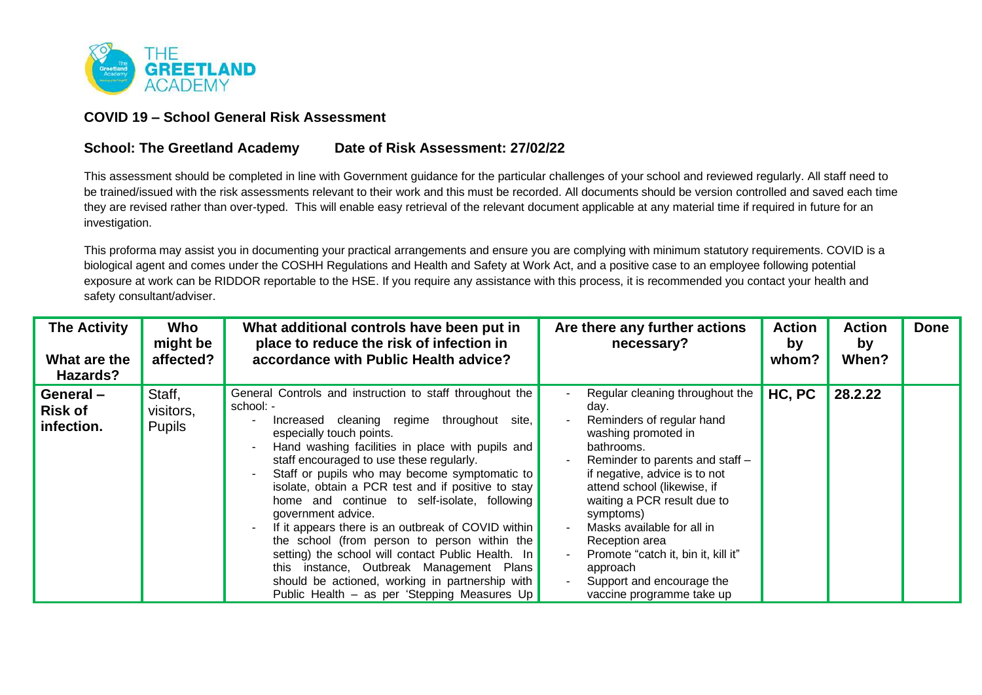

## **COVID 19 – School General Risk Assessment**

## **School: The Greetland Academy Date of Risk Assessment: 27/02/22**

This assessment should be completed in line with Government guidance for the particular challenges of your school and reviewed regularly. All staff need to be trained/issued with the risk assessments relevant to their work and this must be recorded. All documents should be version controlled and saved each time they are revised rather than over-typed. This will enable easy retrieval of the relevant document applicable at any material time if required in future for an investigation.

This proforma may assist you in documenting your practical arrangements and ensure you are complying with minimum statutory requirements. COVID is a biological agent and comes under the COSHH Regulations and Health and Safety at Work Act, and a positive case to an employee following potential exposure at work can be RIDDOR reportable to the HSE. If you require any assistance with this process, it is recommended you contact your health and safety consultant/adviser.

| <b>The Activity</b><br>What are the<br>Hazards? | Who<br>might be<br>affected?         | What additional controls have been put in<br>place to reduce the risk of infection in<br>accordance with Public Health advice?                                                                                                                                                                                                                                                                                                                                                                                                                                                                                                                                                                                                             | Are there any further actions<br>necessary?                                                                                                                                                                                                                                                                                                                                                                           | <b>Action</b><br>by<br>whom? | <b>Action</b><br>by<br>When? | <b>Done</b> |
|-------------------------------------------------|--------------------------------------|--------------------------------------------------------------------------------------------------------------------------------------------------------------------------------------------------------------------------------------------------------------------------------------------------------------------------------------------------------------------------------------------------------------------------------------------------------------------------------------------------------------------------------------------------------------------------------------------------------------------------------------------------------------------------------------------------------------------------------------------|-----------------------------------------------------------------------------------------------------------------------------------------------------------------------------------------------------------------------------------------------------------------------------------------------------------------------------------------------------------------------------------------------------------------------|------------------------------|------------------------------|-------------|
| General-<br><b>Risk of</b><br>infection.        | Staff,<br>visitors,<br><b>Pupils</b> | General Controls and instruction to staff throughout the<br>school: -<br>Increased cleaning regime throughout<br>site.<br>especially touch points.<br>Hand washing facilities in place with pupils and<br>staff encouraged to use these regularly.<br>Staff or pupils who may become symptomatic to<br>isolate, obtain a PCR test and if positive to stay<br>home and continue to self-isolate, following<br>government advice.<br>If it appears there is an outbreak of COVID within<br>the school (from person to person within the<br>setting) the school will contact Public Health. In<br>this instance, Outbreak Management Plans<br>should be actioned, working in partnership with<br>Public Health - as per 'Stepping Measures Up | Regular cleaning throughout the<br>day.<br>Reminders of regular hand<br>washing promoted in<br>bathrooms.<br>Reminder to parents and staff -<br>if negative, advice is to not<br>attend school (likewise, if<br>waiting a PCR result due to<br>symptoms)<br>Masks available for all in<br>Reception area<br>Promote "catch it, bin it, kill it"<br>approach<br>Support and encourage the<br>vaccine programme take up | HC, PC                       | 28.2.22                      |             |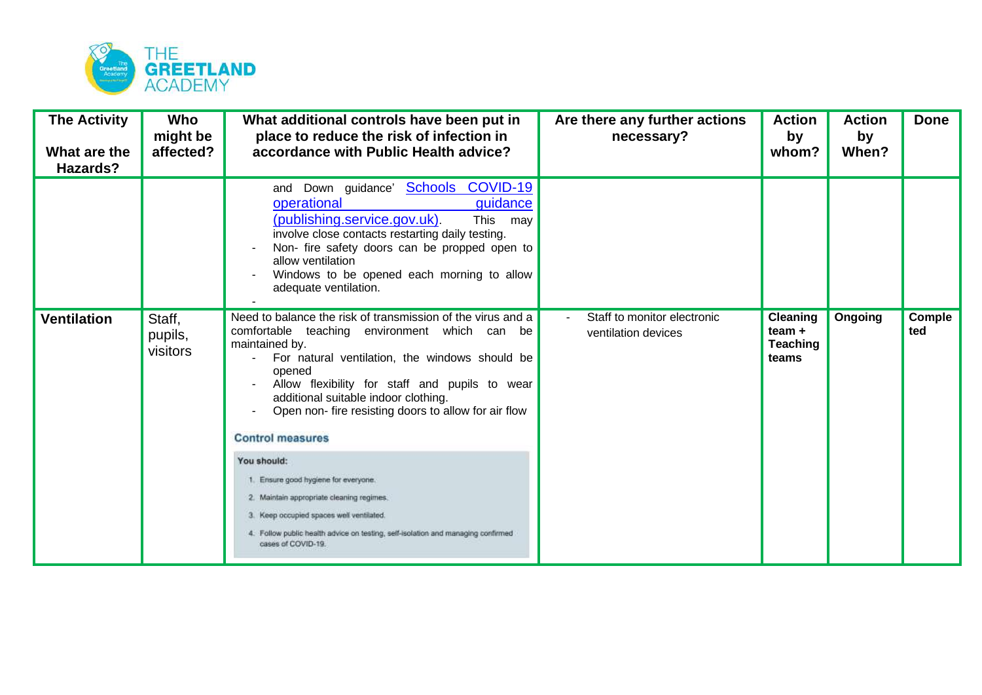

| <b>The Activity</b><br>What are the<br>Hazards? | Who<br>might be<br>affected?  | What additional controls have been put in<br>place to reduce the risk of infection in<br>accordance with Public Health advice?                                                                                                                                                                                                                                                                                                                                                                                       | Are there any further actions<br>necessary?        | <b>Action</b><br>by<br>whom?                            | <b>Action</b><br>by<br>When? | <b>Done</b>   |
|-------------------------------------------------|-------------------------------|----------------------------------------------------------------------------------------------------------------------------------------------------------------------------------------------------------------------------------------------------------------------------------------------------------------------------------------------------------------------------------------------------------------------------------------------------------------------------------------------------------------------|----------------------------------------------------|---------------------------------------------------------|------------------------------|---------------|
|                                                 |                               | and Down guidance' <b>Schools COVID-19</b><br>operational<br>guidance<br>(publishing.service.gov.uk).<br>This may<br>involve close contacts restarting daily testing.<br>Non- fire safety doors can be propped open to<br>allow ventilation<br>Windows to be opened each morning to allow<br>adequate ventilation.                                                                                                                                                                                                   |                                                    |                                                         |                              |               |
| <b>Ventilation</b>                              | Staff,<br>pupils,<br>visitors | Need to balance the risk of transmission of the virus and a<br>comfortable teaching environment which can be<br>maintained by.<br>For natural ventilation, the windows should be<br>opened<br>Allow flexibility for staff and pupils to wear<br>additional suitable indoor clothing.<br>Open non- fire resisting doors to allow for air flow<br><b>Control measures</b><br>You should:<br>Ensure good hygiene for everyone.<br>2. Maintain appropriate cleaning regimes.<br>3. Keep occupied spaces well ventilated. | Staff to monitor electronic<br>ventilation devices | <b>Cleaning</b><br>$team +$<br><b>Teaching</b><br>teams | Ongoing                      | Comple<br>ted |
|                                                 |                               | 4. Follow public health advice on testing, self-isolation and managing confirmed<br>cases of COVID-19.                                                                                                                                                                                                                                                                                                                                                                                                               |                                                    |                                                         |                              |               |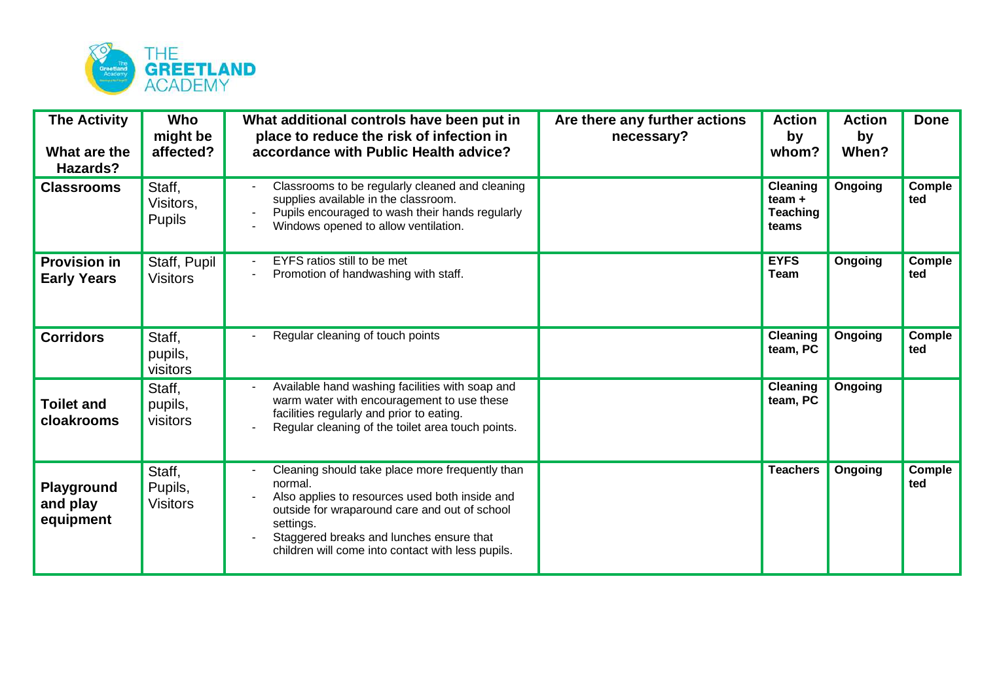

| <b>The Activity</b><br>What are the<br>Hazards? | Who<br>might be<br>affected?         | What additional controls have been put in<br>place to reduce the risk of infection in<br>accordance with Public Health advice?                                                                                                                                              | Are there any further actions<br>necessary? | <b>Action</b><br>by<br>whom?                            | <b>Action</b><br>by<br>When? | <b>Done</b>          |
|-------------------------------------------------|--------------------------------------|-----------------------------------------------------------------------------------------------------------------------------------------------------------------------------------------------------------------------------------------------------------------------------|---------------------------------------------|---------------------------------------------------------|------------------------------|----------------------|
| <b>Classrooms</b>                               | Staff,<br>Visitors,<br><b>Pupils</b> | Classrooms to be regularly cleaned and cleaning<br>supplies available in the classroom.<br>Pupils encouraged to wash their hands regularly<br>Windows opened to allow ventilation.                                                                                          |                                             | <b>Cleaning</b><br>$team +$<br><b>Teaching</b><br>teams | Ongoing                      | <b>Comple</b><br>ted |
| <b>Provision in</b><br><b>Early Years</b>       | Staff, Pupil<br><b>Visitors</b>      | EYFS ratios still to be met<br>Promotion of handwashing with staff.                                                                                                                                                                                                         |                                             | <b>EYFS</b><br><b>Team</b>                              | Ongoing                      | Comple<br>ted        |
| <b>Corridors</b>                                | Staff,<br>pupils,<br>visitors        | Regular cleaning of touch points                                                                                                                                                                                                                                            |                                             | Cleaning<br>team, PC                                    | Ongoing                      | Comple<br>ted        |
| <b>Toilet and</b><br>cloakrooms                 | Staff,<br>pupils,<br>visitors        | Available hand washing facilities with soap and<br>warm water with encouragement to use these<br>facilities regularly and prior to eating.<br>Regular cleaning of the toilet area touch points.                                                                             |                                             | <b>Cleaning</b><br>team, PC                             | Ongoing                      |                      |
| Playground<br>and play<br>equipment             | Staff,<br>Pupils,<br><b>Visitors</b> | Cleaning should take place more frequently than<br>normal.<br>Also applies to resources used both inside and<br>outside for wraparound care and out of school<br>settings.<br>Staggered breaks and lunches ensure that<br>children will come into contact with less pupils. |                                             | <b>Teachers</b>                                         | Ongoing                      | Comple<br>ted        |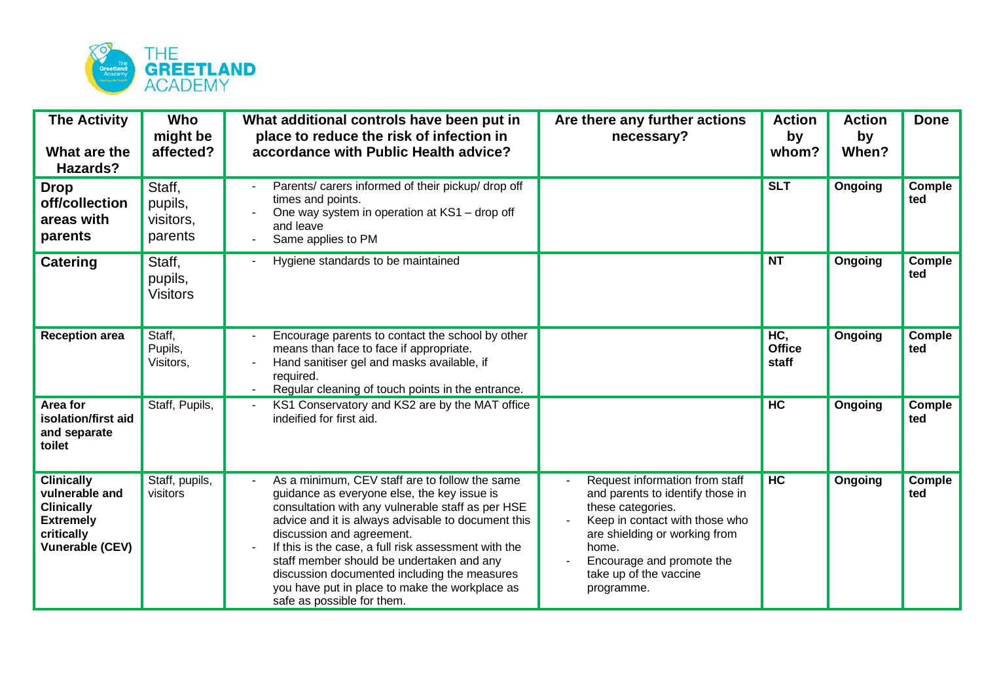

| <b>The Activity</b><br>What are the<br>Hazards?                                                                      | Who<br>might be<br>affected?              | What additional controls have been put in<br>place to reduce the risk of infection in<br>accordance with Public Health advice?                                                                                                                                                                                                                                                                                                                                             | Are there any further actions<br>necessary?                                                                                                                                                                                              | <b>Action</b><br>by<br>whom?  | <b>Action</b><br>by<br>When? | <b>Done</b>          |
|----------------------------------------------------------------------------------------------------------------------|-------------------------------------------|----------------------------------------------------------------------------------------------------------------------------------------------------------------------------------------------------------------------------------------------------------------------------------------------------------------------------------------------------------------------------------------------------------------------------------------------------------------------------|------------------------------------------------------------------------------------------------------------------------------------------------------------------------------------------------------------------------------------------|-------------------------------|------------------------------|----------------------|
| <b>Drop</b><br>off/collection<br>areas with<br>parents                                                               | Staff,<br>pupils,<br>visitors,<br>parents | Parents/ carers informed of their pickup/ drop off<br>times and points.<br>One way system in operation at KS1 - drop off<br>and leave<br>Same applies to PM                                                                                                                                                                                                                                                                                                                |                                                                                                                                                                                                                                          | <b>SLT</b>                    | Ongoing                      | Comple<br>ted        |
| <b>Catering</b>                                                                                                      | Staff,<br>pupils,<br><b>Visitors</b>      | Hygiene standards to be maintained                                                                                                                                                                                                                                                                                                                                                                                                                                         |                                                                                                                                                                                                                                          | <b>NT</b>                     | Ongoing                      | Comple<br>ted        |
| <b>Reception area</b>                                                                                                | Staff,<br>Pupils,<br>Visitors,            | Encourage parents to contact the school by other<br>means than face to face if appropriate.<br>Hand sanitiser gel and masks available, if<br>required.<br>Regular cleaning of touch points in the entrance.                                                                                                                                                                                                                                                                |                                                                                                                                                                                                                                          | HC,<br><b>Office</b><br>staff | <b>Ongoing</b>               | Comple<br>ted        |
| Area for<br>isolation/first aid<br>and separate<br>toilet                                                            | Staff, Pupils,                            | KS1 Conservatory and KS2 are by the MAT office<br>indeified for first aid.                                                                                                                                                                                                                                                                                                                                                                                                 |                                                                                                                                                                                                                                          | HC                            | Ongoing                      | Comple<br>ted        |
| <b>Clinically</b><br>vulnerable and<br><b>Clinically</b><br><b>Extremely</b><br>critically<br><b>Vunerable (CEV)</b> | Staff, pupils,<br>visitors                | As a minimum, CEV staff are to follow the same<br>guidance as everyone else, the key issue is<br>consultation with any vulnerable staff as per HSE<br>advice and it is always advisable to document this<br>discussion and agreement.<br>If this is the case, a full risk assessment with the<br>staff member should be undertaken and any<br>discussion documented including the measures<br>you have put in place to make the workplace as<br>safe as possible for them. | Request information from staff<br>and parents to identify those in<br>these categories.<br>Keep in contact with those who<br>are shielding or working from<br>home.<br>Encourage and promote the<br>take up of the vaccine<br>programme. | HC                            | Ongoing                      | <b>Comple</b><br>ted |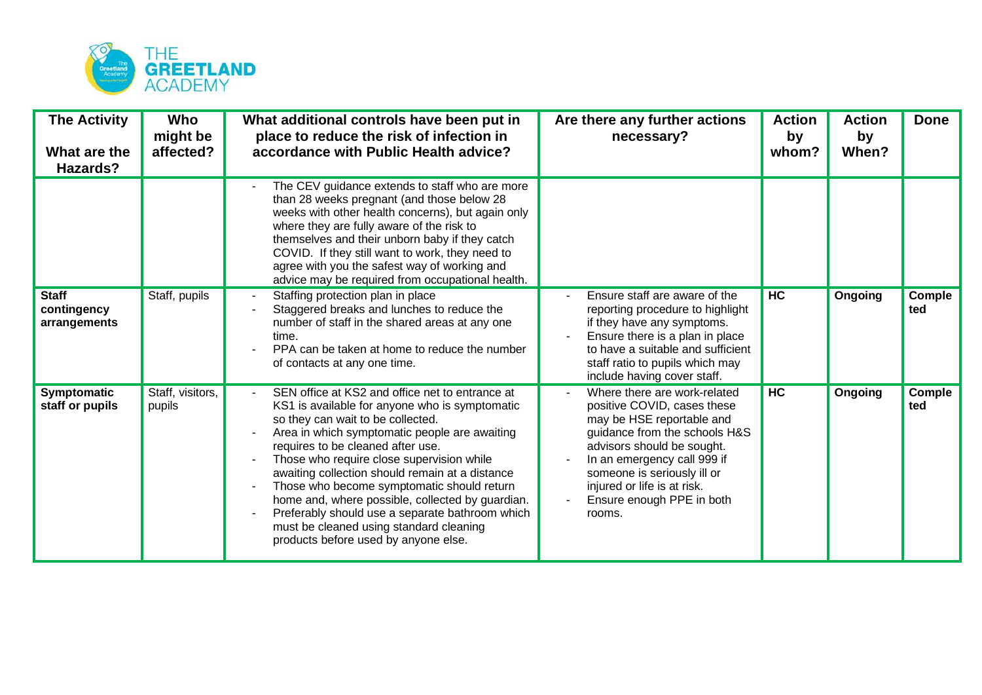

| <b>The Activity</b><br>What are the<br>Hazards? | Who<br>might be<br>affected? | What additional controls have been put in<br>place to reduce the risk of infection in<br>accordance with Public Health advice?                                                                                                                                                                                                                                                                                                                                                                                                                                       | Are there any further actions<br>necessary?                                                                                                                                                                                                                                                 | <b>Action</b><br>by<br>whom? | <b>Action</b><br>by<br>When? | <b>Done</b>   |
|-------------------------------------------------|------------------------------|----------------------------------------------------------------------------------------------------------------------------------------------------------------------------------------------------------------------------------------------------------------------------------------------------------------------------------------------------------------------------------------------------------------------------------------------------------------------------------------------------------------------------------------------------------------------|---------------------------------------------------------------------------------------------------------------------------------------------------------------------------------------------------------------------------------------------------------------------------------------------|------------------------------|------------------------------|---------------|
|                                                 |                              | The CEV guidance extends to staff who are more<br>than 28 weeks pregnant (and those below 28<br>weeks with other health concerns), but again only<br>where they are fully aware of the risk to<br>themselves and their unborn baby if they catch<br>COVID. If they still want to work, they need to<br>agree with you the safest way of working and<br>advice may be required from occupational health.                                                                                                                                                              |                                                                                                                                                                                                                                                                                             |                              |                              |               |
| <b>Staff</b><br>contingency<br>arrangements     | Staff, pupils                | Staffing protection plan in place<br>Staggered breaks and lunches to reduce the<br>number of staff in the shared areas at any one<br>time.<br>PPA can be taken at home to reduce the number<br>of contacts at any one time.                                                                                                                                                                                                                                                                                                                                          | Ensure staff are aware of the<br>reporting procedure to highlight<br>if they have any symptoms.<br>Ensure there is a plan in place<br>to have a suitable and sufficient<br>staff ratio to pupils which may<br>include having cover staff.                                                   | <b>HC</b>                    | Ongoing                      | Comple<br>ted |
| Symptomatic<br>staff or pupils                  | Staff, visitors,<br>pupils   | SEN office at KS2 and office net to entrance at<br>KS1 is available for anyone who is symptomatic<br>so they can wait to be collected.<br>Area in which symptomatic people are awaiting<br>requires to be cleaned after use.<br>Those who require close supervision while<br>awaiting collection should remain at a distance<br>Those who become symptomatic should return<br>home and, where possible, collected by guardian.<br>Preferably should use a separate bathroom which<br>must be cleaned using standard cleaning<br>products before used by anyone else. | Where there are work-related<br>positive COVID, cases these<br>may be HSE reportable and<br>guidance from the schools H&S<br>advisors should be sought.<br>In an emergency call 999 if<br>someone is seriously ill or<br>injured or life is at risk.<br>Ensure enough PPE in both<br>rooms. | HC                           | Ongoing                      | Comple<br>ted |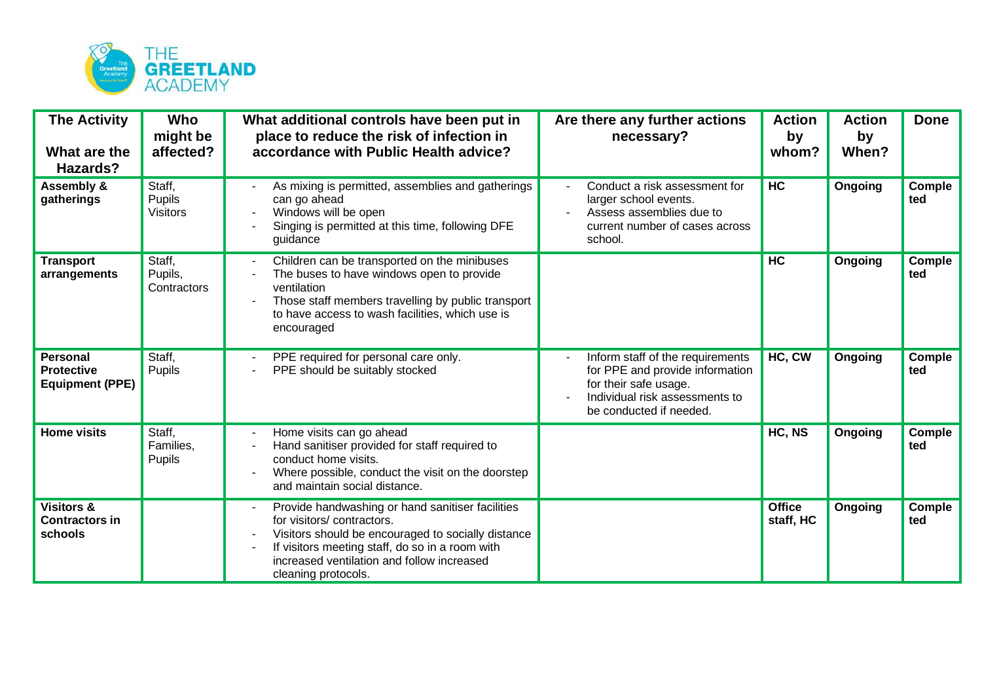

| <b>The Activity</b><br>What are the<br>Hazards?                | <b>Who</b><br>might be<br>affected? | What additional controls have been put in<br>place to reduce the risk of infection in<br>accordance with Public Health advice?                                                                                                                              | Are there any further actions<br>necessary?                                                                                                               | <b>Action</b><br>by<br>whom? | <b>Action</b><br>by<br>When? | <b>Done</b>          |
|----------------------------------------------------------------|-------------------------------------|-------------------------------------------------------------------------------------------------------------------------------------------------------------------------------------------------------------------------------------------------------------|-----------------------------------------------------------------------------------------------------------------------------------------------------------|------------------------------|------------------------------|----------------------|
| <b>Assembly &amp;</b><br>gatherings                            | Staff,<br>Pupils<br><b>Visitors</b> | As mixing is permitted, assemblies and gatherings<br>can go ahead<br>Windows will be open<br>Singing is permitted at this time, following DFE<br>guidance                                                                                                   | Conduct a risk assessment for<br>larger school events.<br>Assess assemblies due to<br>current number of cases across<br>school.                           | <b>HC</b>                    | Ongoing                      | Comple<br>ted        |
| <b>Transport</b><br>arrangements                               | Staff,<br>Pupils,<br>Contractors    | Children can be transported on the minibuses<br>The buses to have windows open to provide<br>ventilation<br>Those staff members travelling by public transport<br>to have access to wash facilities, which use is<br>encouraged                             |                                                                                                                                                           | HC                           | Ongoing                      | Comple<br>ted        |
| <b>Personal</b><br><b>Protective</b><br><b>Equipment (PPE)</b> | Staff,<br>Pupils                    | PPE required for personal care only.<br>PPE should be suitably stocked                                                                                                                                                                                      | Inform staff of the requirements<br>for PPE and provide information<br>for their safe usage.<br>Individual risk assessments to<br>be conducted if needed. | HC, CW                       | Ongoing                      | Comple<br>ted        |
| <b>Home visits</b>                                             | Staff,<br>Families,<br>Pupils       | Home visits can go ahead<br>Hand sanitiser provided for staff required to<br>conduct home visits.<br>Where possible, conduct the visit on the doorstep<br>and maintain social distance.                                                                     |                                                                                                                                                           | HC, NS                       | Ongoing                      | <b>Comple</b><br>ted |
| <b>Visitors &amp;</b><br><b>Contractors in</b><br>schools      |                                     | Provide handwashing or hand sanitiser facilities<br>for visitors/contractors.<br>Visitors should be encouraged to socially distance<br>If visitors meeting staff, do so in a room with<br>increased ventilation and follow increased<br>cleaning protocols. |                                                                                                                                                           | <b>Office</b><br>staff, HC   | Ongoing                      | Comple<br>ted        |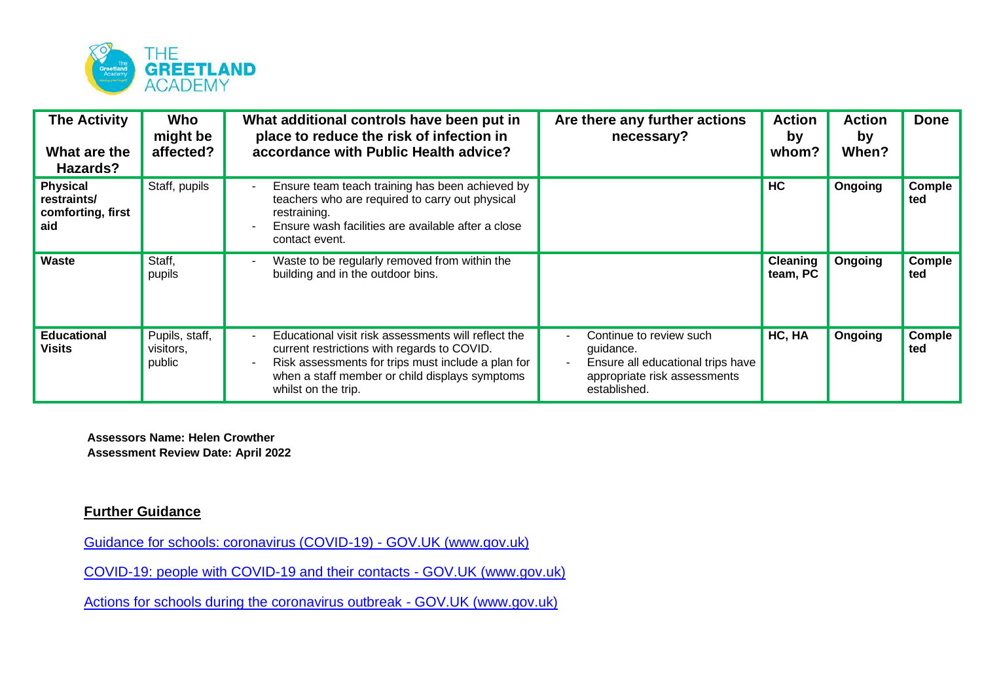

| <b>The Activity</b><br>What are the<br>Hazards?            | Who<br>might be<br>affected?          | What additional controls have been put in<br>place to reduce the risk of infection in<br>accordance with Public Health advice?                                                                                                    | Are there any further actions<br>necessary?                                                                               | <b>Action</b><br>by<br>whom? | <b>Action</b><br>by<br>When? | <b>Done</b>   |
|------------------------------------------------------------|---------------------------------------|-----------------------------------------------------------------------------------------------------------------------------------------------------------------------------------------------------------------------------------|---------------------------------------------------------------------------------------------------------------------------|------------------------------|------------------------------|---------------|
| <b>Physical</b><br>restraints/<br>comforting, first<br>aid | Staff, pupils                         | Ensure team teach training has been achieved by<br>teachers who are required to carry out physical<br>restraining.<br>Ensure wash facilities are available after a close<br>contact event.                                        |                                                                                                                           | <b>HC</b>                    | Ongoing                      | Comple<br>ted |
| Waste                                                      | Staff,<br>pupils                      | Waste to be regularly removed from within the<br>building and in the outdoor bins.                                                                                                                                                |                                                                                                                           | <b>Cleaning</b><br>team, PC  | Ongoing                      | Comple<br>ted |
| <b>Educational</b><br><b>Visits</b>                        | Pupils, staff,<br>visitors,<br>public | Educational visit risk assessments will reflect the<br>current restrictions with regards to COVID.<br>Risk assessments for trips must include a plan for<br>when a staff member or child displays symptoms<br>whilst on the trip. | Continue to review such<br>guidance.<br>Ensure all educational trips have<br>appropriate risk assessments<br>established. | HC, HA                       | Ongoing                      | Comple<br>ted |

**Assessors Name: Helen Crowther Assessment Review Date: April 2022**

## **Further Guidance**

[Guidance for schools: coronavirus \(COVID-19\) -](https://www.gov.uk/government/collections/guidance-for-schools-coronavirus-covid-19) GOV.UK (www.gov.uk)

[COVID-19: people with COVID-19 and their contacts -](https://www.gov.uk/government/publications/covid-19-people-with-covid-19-and-their-contacts) GOV.UK (www.gov.uk)

[Actions for schools during the coronavirus outbreak -](https://www.gov.uk/government/publications/actions-for-schools-during-the-coronavirus-outbreak) GOV.UK (www.gov.uk)